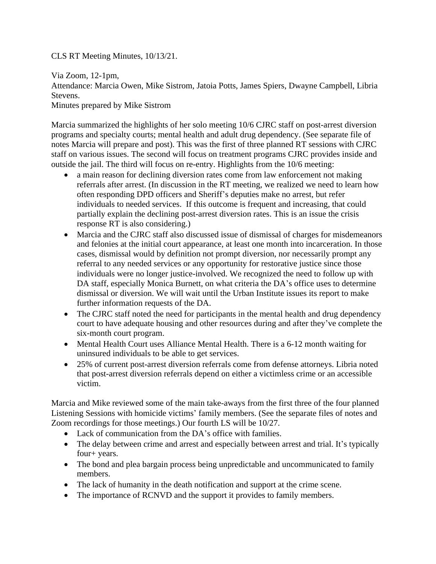## CLS RT Meeting Minutes, 10/13/21.

Via Zoom, 12-1pm, Attendance: Marcia Owen, Mike Sistrom, Jatoia Potts, James Spiers, Dwayne Campbell, Libria Stevens. Minutes prepared by Mike Sistrom

Marcia summarized the highlights of her solo meeting 10/6 CJRC staff on post-arrest diversion programs and specialty courts; mental health and adult drug dependency. (See separate file of notes Marcia will prepare and post). This was the first of three planned RT sessions with CJRC staff on various issues. The second will focus on treatment programs CJRC provides inside and outside the jail. The third will focus on re-entry. Highlights from the 10/6 meeting:

- a main reason for declining diversion rates come from law enforcement not making referrals after arrest. (In discussion in the RT meeting, we realized we need to learn how often responding DPD officers and Sheriff's deputies make no arrest, but refer individuals to needed services. If this outcome is frequent and increasing, that could partially explain the declining post-arrest diversion rates. This is an issue the crisis response RT is also considering.)
- Marcia and the CJRC staff also discussed issue of dismissal of charges for misdemeanors and felonies at the initial court appearance, at least one month into incarceration. In those cases, dismissal would by definition not prompt diversion, nor necessarily prompt any referral to any needed services or any opportunity for restorative justice since those individuals were no longer justice-involved. We recognized the need to follow up with DA staff, especially Monica Burnett, on what criteria the DA's office uses to determine dismissal or diversion. We will wait until the Urban Institute issues its report to make further information requests of the DA.
- The CJRC staff noted the need for participants in the mental health and drug dependency court to have adequate housing and other resources during and after they've complete the six-month court program.
- Mental Health Court uses Alliance Mental Health. There is a 6-12 month waiting for uninsured individuals to be able to get services.
- 25% of current post-arrest diversion referrals come from defense attorneys. Libria noted that post-arrest diversion referrals depend on either a victimless crime or an accessible victim.

Marcia and Mike reviewed some of the main take-aways from the first three of the four planned Listening Sessions with homicide victims' family members. (See the separate files of notes and Zoom recordings for those meetings.) Our fourth LS will be 10/27.

- Lack of communication from the DA's office with families.
- The delay between crime and arrest and especially between arrest and trial. It's typically four+ years.
- The bond and plea bargain process being unpredictable and uncommunicated to family members.
- The lack of humanity in the death notification and support at the crime scene.
- The importance of RCNVD and the support it provides to family members.